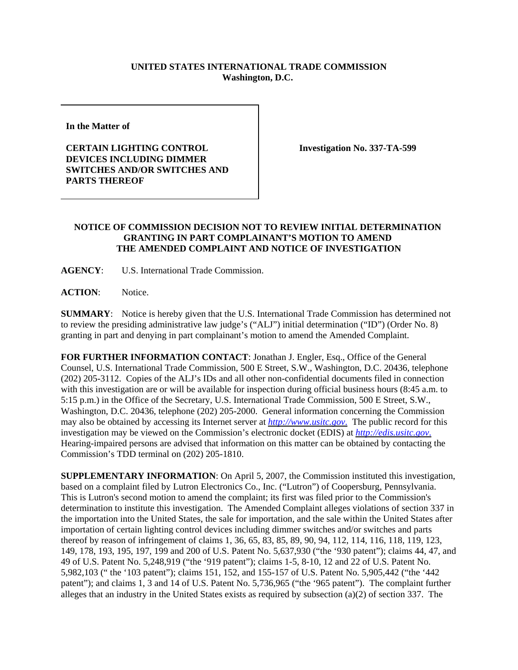## **UNITED STATES INTERNATIONAL TRADE COMMISSION Washington, D.C.**

**In the Matter of** 

**CERTAIN LIGHTING CONTROL DEVICES INCLUDING DIMMER SWITCHES AND/OR SWITCHES AND PARTS THEREOF**

**Investigation No. 337-TA-599**

## **NOTICE OF COMMISSION DECISION NOT TO REVIEW INITIAL DETERMINATION GRANTING IN PART COMPLAINANT'S MOTION TO AMEND THE AMENDED COMPLAINT AND NOTICE OF INVESTIGATION**

**AGENCY**: U.S. International Trade Commission.

**ACTION**: Notice.

**SUMMARY:** Notice is hereby given that the U.S. International Trade Commission has determined not to review the presiding administrative law judge's ("ALJ") initial determination ("ID") (Order No. 8) granting in part and denying in part complainant's motion to amend the Amended Complaint.

**FOR FURTHER INFORMATION CONTACT**: Jonathan J. Engler, Esq., Office of the General Counsel, U.S. International Trade Commission, 500 E Street, S.W., Washington, D.C. 20436, telephone (202) 205-3112. Copies of the ALJ's IDs and all other non-confidential documents filed in connection with this investigation are or will be available for inspection during official business hours (8:45 a.m. to 5:15 p.m.) in the Office of the Secretary, U.S. International Trade Commission, 500 E Street, S.W., Washington, D.C. 20436, telephone (202) 205-2000. General information concerning the Commission may also be obtained by accessing its Internet server at *http://www.usitc.gov*. The public record for this investigation may be viewed on the Commission's electronic docket (EDIS) at *http://edis.usitc.gov*. Hearing-impaired persons are advised that information on this matter can be obtained by contacting the Commission's TDD terminal on (202) 205-1810.

**SUPPLEMENTARY INFORMATION**: On April 5, 2007, the Commission instituted this investigation, based on a complaint filed by Lutron Electronics Co., Inc. ("Lutron") of Coopersburg, Pennsylvania. This is Lutron's second motion to amend the complaint; its first was filed prior to the Commission's determination to institute this investigation. The Amended Complaint alleges violations of section 337 in the importation into the United States, the sale for importation, and the sale within the United States after importation of certain lighting control devices including dimmer switches and/or switches and parts thereof by reason of infringement of claims 1, 36, 65, 83, 85, 89, 90, 94, 112, 114, 116, 118, 119, 123, 149, 178, 193, 195, 197, 199 and 200 of U.S. Patent No. 5,637,930 ("the '930 patent"); claims 44, 47, and 49 of U.S. Patent No. 5,248,919 ("the '919 patent"); claims 1-5, 8-10, 12 and 22 of U.S. Patent No. 5,982,103 (" the '103 patent"); claims 151, 152, and 155-157 of U.S. Patent No. 5,905,442 ("the '442 patent"); and claims 1, 3 and 14 of U.S. Patent No. 5,736,965 ("the '965 patent"). The complaint further alleges that an industry in the United States exists as required by subsection (a)(2) of section 337. The